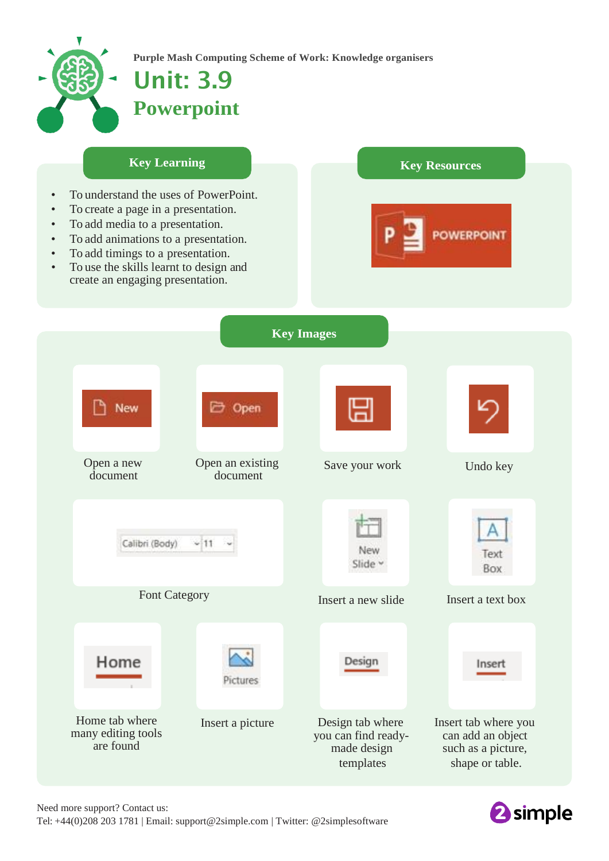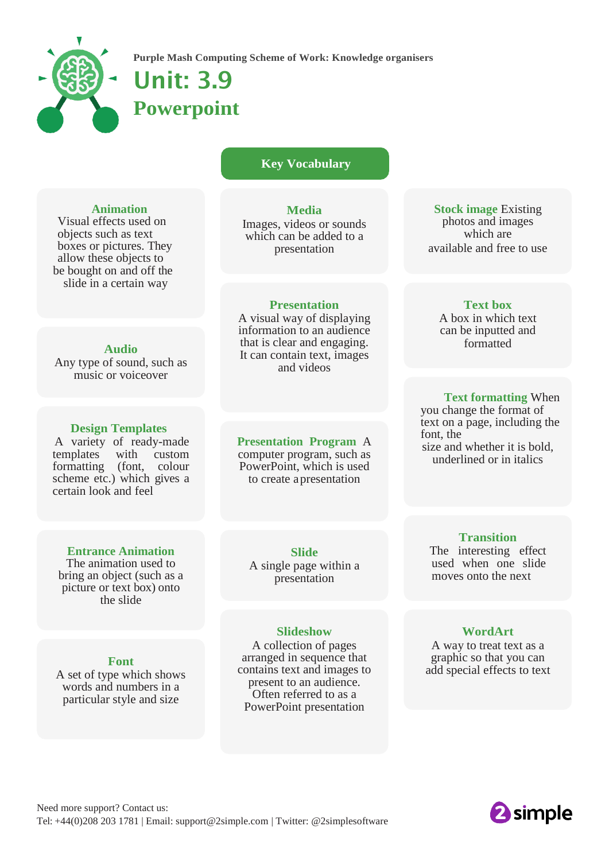

**Purple Mash Computing Scheme of Work: Knowledge organisers**

# Unit: 3.9 **Powerpoint**

# **Key Vocabulary**

## **Animation**

Visual effects used on objects such as text boxes or pictures. They allow these objects to be bought on and off the slide in a certain way

## **Audio**

Any type of sound, such as music or voiceover

## **Design Templates**

A variety of ready-made templates with custom formatting (font, colour scheme etc.) which gives a certain look and feel

**Media**

Images, videos or sounds which can be added to a presentation

#### **Presentation**

A visual way of displaying information to an audience that is clear and engaging. It can contain text, images and videos

**Presentation Program** A computer program, such as

PowerPoint, which is used to create a presentation

**Stock image** Existing photos and images which are available and free to use

# **Text box**

A box in which text can be inputted and formatted

## **Text formatting** When

you change the format of text on a page, including the font, the size and whether it is bold, underlined or in italics

# **Entrance Animation**

The animation used to bring an object (such as a picture or text box) onto the slide

#### **Font**

A set of type which shows words and numbers in a particular style and size

**Slide** A single page within a presentation

#### **Slideshow**

A collection of pages arranged in sequence that contains text and images to present to an audience. Often referred to as a PowerPoint presentation

# **Transition**

The interesting effect used when one slide moves onto the next

# **WordArt**

A way to treat text as a graphic so that you can add special effects to text